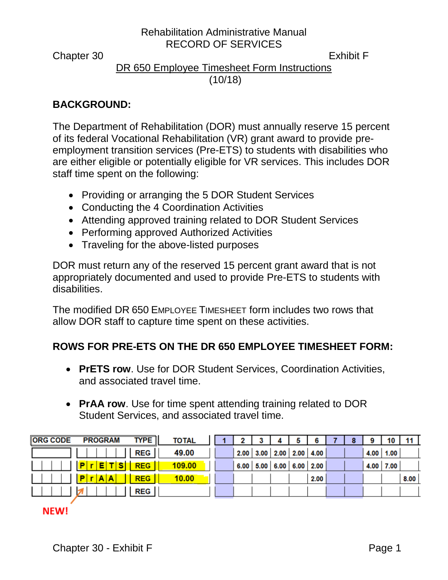Chapter 30 Exhibit F

# DR 650 Employee Timesheet Form Instructions (10/18)

## **BACKGROUND:**

The Department of Rehabilitation (DOR) must annually reserve 15 percent of its federal Vocational Rehabilitation (VR) grant award to provide preemployment transition services (Pre-ETS) to students with disabilities who are either eligible or potentially eligible for VR services. This includes DOR staff time spent on the following:

- Providing or arranging the 5 DOR Student Services
- Conducting the 4 Coordination Activities
- Attending approved training related to DOR Student Services
- Performing approved Authorized Activities
- Traveling for the above-listed purposes

DOR must return any of the reserved 15 percent grant award that is not appropriately documented and used to provide Pre-ETS to students with disabilities.

The modified DR 650 EMPLOYEE TIMESHEET form includes two rows that allow DOR staff to capture time spent on these activities.

# **ROWS FOR PRE-ETS ON THE DR 650 EMPLOYEE TIMESHEET FORM:**

- **PrETS row**. Use for DOR Student Services, Coordination Activities, and associated travel time.
- **PrAA row**. Use for time spent attending training related to DOR Student Services, and associated travel time.

| <b>ORG CODE</b><br><b>PROGRAM</b> | <b>TYPE</b><br><b>TOTAL</b> |  |                                    |  |      |  |               |      |
|-----------------------------------|-----------------------------|--|------------------------------------|--|------|--|---------------|------|
|                                   | REG  <br>49.00              |  | $2.00$   3.00   2.00   2.00   4.00 |  |      |  | $4.00$   1.00 |      |
| <b>REG</b><br>sı<br>Е             | 109.00                      |  | $6.00$ 5.00 6.00 6.00 2.00         |  |      |  | $4.00$ 7.00   |      |
| <b>REG</b><br><b>A</b><br>IA.     | 10.00                       |  |                                    |  | 2.00 |  |               | 8.00 |
|                                   | REG                         |  |                                    |  |      |  |               |      |

### **NEW!**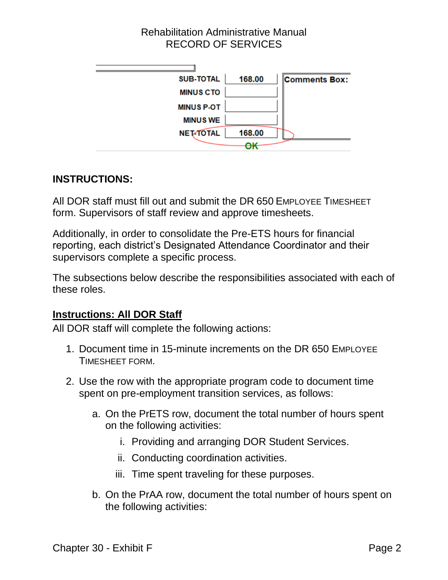

### **INSTRUCTIONS:**

All DOR staff must fill out and submit the DR 650 EMPLOYEE TIMESHEET form. Supervisors of staff review and approve timesheets.

Additionally, in order to consolidate the Pre-ETS hours for financial reporting, each district's Designated Attendance Coordinator and their supervisors complete a specific process.

The subsections below describe the responsibilities associated with each of these roles.

### **Instructions: All DOR Staff**

All DOR staff will complete the following actions:

- 1. Document time in 15-minute increments on the DR 650 EMPLOYEE TIMESHEET FORM.
- 2. Use the row with the appropriate program code to document time spent on pre-employment transition services, as follows:
	- a. On the PrETS row, document the total number of hours spent on the following activities:
		- i. Providing and arranging DOR Student Services.
		- ii. Conducting coordination activities.
		- iii. Time spent traveling for these purposes.
	- b. On the PrAA row, document the total number of hours spent on the following activities: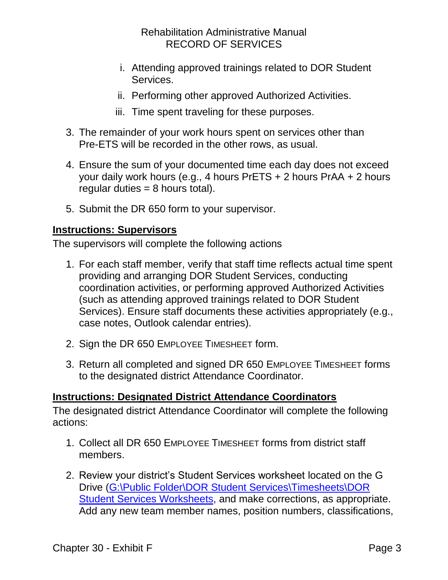- i. Attending approved trainings related to DOR Student **Services**
- ii. Performing other approved Authorized Activities.
- iii. Time spent traveling for these purposes.
- 3. The remainder of your work hours spent on services other than Pre-ETS will be recorded in the other rows, as usual.
- 4. Ensure the sum of your documented time each day does not exceed your daily work hours (e.g., 4 hours PrETS + 2 hours PrAA + 2 hours regular duties  $= 8$  hours total).
- 5. Submit the DR 650 form to your supervisor.

#### **Instructions: Supervisors**

The supervisors will complete the following actions

- 1. For each staff member, verify that staff time reflects actual time spent providing and arranging DOR Student Services, conducting coordination activities, or performing approved Authorized Activities (such as attending approved trainings related to DOR Student Services). Ensure staff documents these activities appropriately (e.g., case notes, Outlook calendar entries).
- 2. Sign the DR 650 EMPLOYEE TIMESHEET form.
- 3. Return all completed and signed DR 650 EMPLOYEE TIMESHEET forms to the designated district Attendance Coordinator.

#### **Instructions: Designated District Attendance Coordinators**

The designated district Attendance Coordinator will complete the following actions:

- 1. Collect all DR 650 EMPLOYEE TIMESHEET forms from district staff members.
- 2. Review your district's Student Services worksheet located on the G Drive [\(G:\Public Folder\DOR Student Services\Timesheets\DOR](file://///dorgroup/group/Public%20Folder/DOR%20Student%20Services/Timesheets/DOR%20Student%20Services%20Worksheets)  [Student Services Worksheets,](file://///dorgroup/group/Public%20Folder/DOR%20Student%20Services/Timesheets/DOR%20Student%20Services%20Worksheets) and make corrections, as appropriate. Add any new team member names, position numbers, classifications,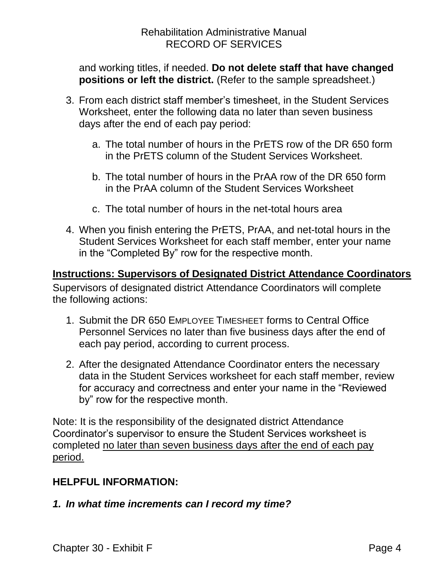and working titles, if needed. **Do not delete staff that have changed positions or left the district.** (Refer to the sample spreadsheet.)

- 3. From each district staff member's timesheet, in the Student Services Worksheet, enter the following data no later than seven business days after the end of each pay period:
	- a. The total number of hours in the PrETS row of the DR 650 form in the PrETS column of the Student Services Worksheet.
	- b. The total number of hours in the PrAA row of the DR 650 form in the PrAA column of the Student Services Worksheet
	- c. The total number of hours in the net-total hours area
- 4. When you finish entering the PrETS, PrAA, and net-total hours in the Student Services Worksheet for each staff member, enter your name in the "Completed By" row for the respective month.

### **Instructions: Supervisors of Designated District Attendance Coordinators**

Supervisors of designated district Attendance Coordinators will complete the following actions:

- 1. Submit the DR 650 EMPLOYEE TIMESHEET forms to Central Office Personnel Services no later than five business days after the end of each pay period, according to current process.
- 2. After the designated Attendance Coordinator enters the necessary data in the Student Services worksheet for each staff member, review for accuracy and correctness and enter your name in the "Reviewed by" row for the respective month.

Note: It is the responsibility of the designated district Attendance Coordinator's supervisor to ensure the Student Services worksheet is completed no later than seven business days after the end of each pay period.

### **HELPFUL INFORMATION:**

### *1. In what time increments can I record my time?*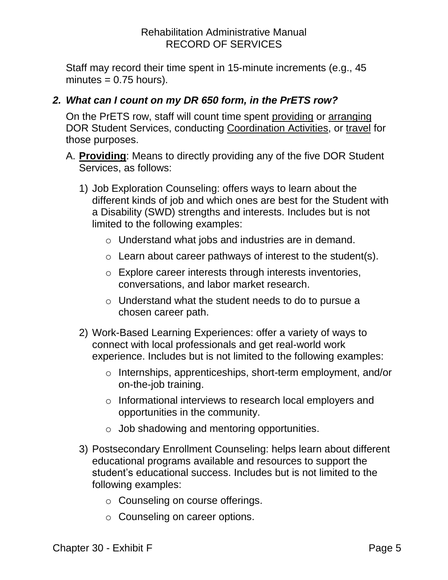Staff may record their time spent in 15-minute increments (e.g., 45  $minutes = 0.75 hours$ ).

# *2. What can I count on my DR 650 form, in the PrETS row?*

On the PrETS row, staff will count time spent providing or arranging DOR Student Services, conducting Coordination Activities, or travel for those purposes.

- A. **Providing**: Means to directly providing any of the five DOR Student Services, as follows:
	- 1) Job Exploration Counseling: offers ways to learn about the different kinds of job and which ones are best for the Student with a Disability (SWD) strengths and interests. Includes but is not limited to the following examples:
		- o Understand what jobs and industries are in demand.
		- $\circ$  Learn about career pathways of interest to the student(s).
		- o Explore career interests through interests inventories, conversations, and labor market research.
		- o Understand what the student needs to do to pursue a chosen career path.
	- 2) Work-Based Learning Experiences: offer a variety of ways to connect with local professionals and get real-world work experience. Includes but is not limited to the following examples:
		- o Internships, apprenticeships, short-term employment, and/or on-the-job training.
		- o Informational interviews to research local employers and opportunities in the community.
		- $\circ$  Job shadowing and mentoring opportunities.
	- 3) Postsecondary Enrollment Counseling: helps learn about different educational programs available and resources to support the student's educational success. Includes but is not limited to the following examples:
		- o Counseling on course offerings.
		- o Counseling on career options.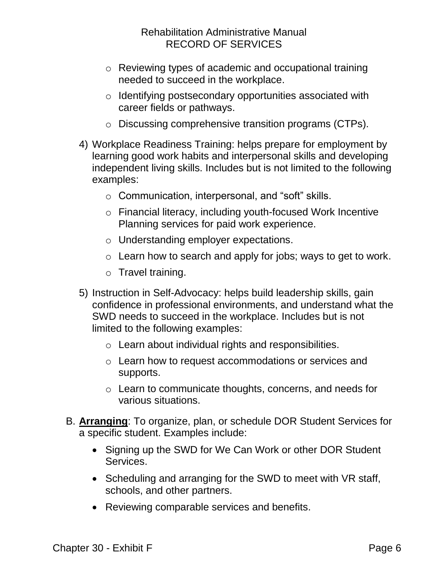- o Reviewing types of academic and occupational training needed to succeed in the workplace.
- o Identifying postsecondary opportunities associated with career fields or pathways.
- o Discussing comprehensive transition programs (CTPs).
- 4) Workplace Readiness Training: helps prepare for employment by learning good work habits and interpersonal skills and developing independent living skills. Includes but is not limited to the following examples:
	- o Communication, interpersonal, and "soft" skills.
	- o Financial literacy, including youth-focused Work Incentive Planning services for paid work experience.
	- o Understanding employer expectations.
	- o Learn how to search and apply for jobs; ways to get to work.
	- o Travel training.
- 5) Instruction in Self-Advocacy: helps build leadership skills, gain confidence in professional environments, and understand what the SWD needs to succeed in the workplace. Includes but is not limited to the following examples:
	- o Learn about individual rights and responsibilities.
	- o Learn how to request accommodations or services and supports.
	- o Learn to communicate thoughts, concerns, and needs for various situations.
- B. **Arranging**: To organize, plan, or schedule DOR Student Services for a specific student. Examples include:
	- Signing up the SWD for We Can Work or other DOR Student Services.
	- Scheduling and arranging for the SWD to meet with VR staff, schools, and other partners.
	- Reviewing comparable services and benefits.